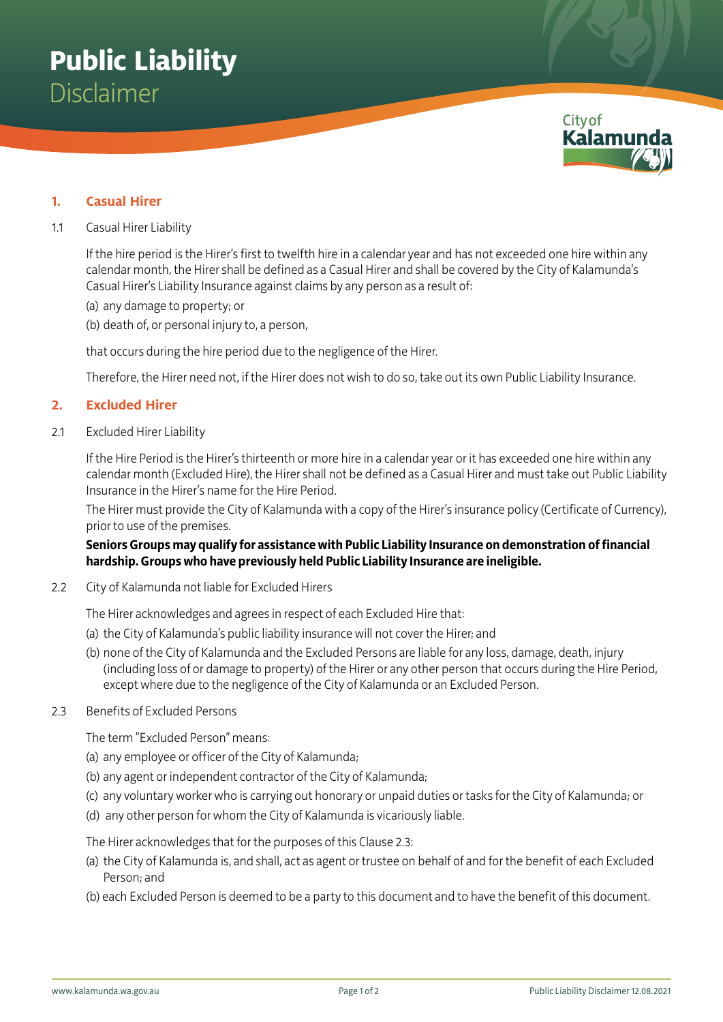

## **1. Casual Hirer**

#### 1.1 Casual Hirer Liability

If the hire period is the Hirer's first to twelfth hire in a calendar year and has not exceeded one hire within any calendar month, the Hirer shall be defined as a Casual Hirer and shall be covered by the City of Kalamunda's Casual Hirer's Liability Insurance against claims by any person as a result of:

- (a) any damage to property; or
- (b) death of, or personal injury to, a person,

that occurs during the hire period due to the negligence of the Hirer.

Therefore, the Hirer need not, if the Hirer does not wish to do so, take out its own Public Liability Insurance.

#### **2. Excluded Hirer**

2.1 Excluded Hirer Liability

If the Hire Period is the Hirer's thirteenth or more hire in a calendar year or it has exceeded one hire within any calendar month (Excluded Hire), the Hirer shall not be defined as a Casual Hirer and must take out Public Liability Insurance in the Hirer's name for the Hire Period.

The Hirer must provide the City of Kalamunda with a copy of the Hirer's insurance policy (Certificate of Currency), prior to use of the premises.

**Seniors Groups may qualify for assistance with Public Liability Insurance on demonstration of financial hardship. Groups who have previously held Public Liability Insurance are ineligible.**

2.2 City of Kalamunda not liable for Excluded Hirers

The Hirer acknowledges and agrees in respect of each Excluded Hire that:

- (a) the City of Kalamunda's public liability insurance will not cover the Hirer; and
- (b) none of the City of Kalamunda and the Excluded Persons are liable for any loss, damage, death, injury (including loss of or damage to property) of the Hirer or any other person that occurs during the Hire Period, except where due to the negligence of the City of Kalamunda or an Excluded Person.
- 2.3 Benefits of Excluded Persons

The term "Excluded Person" means:

- (a) any employee or officer of the City of Kalamunda;
- (b) any agent or independent contractor of the City of Kalamunda;
- (c) any voluntary worker who is carrying out honorary or unpaid duties or tasks for the City of Kalamunda; or
- (d) any other person for whom the City of Kalamunda is vicariously liable.

The Hirer acknowledges that for the purposes of this Clause 2.3:

- (a) the City of Kalamunda is, and shall, act as agent or trustee on behalf of and for the benefit of each Excluded Person; and
- (b) each Excluded Person is deemed to be a party to this document and to have the benefit of this document.